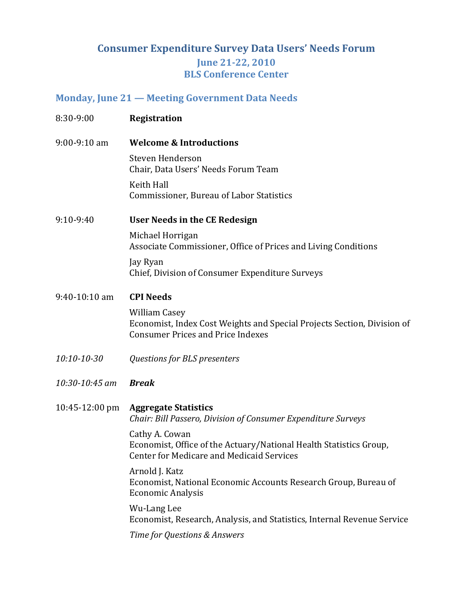#### **Monday, June 21 — Meeting Government Data Needs**

| 8:30-9:00                | <b>Registration</b>                                                                                                                         |
|--------------------------|---------------------------------------------------------------------------------------------------------------------------------------------|
| 9:00-9:10 am             | <b>Welcome &amp; Introductions</b>                                                                                                          |
|                          | Steven Henderson<br>Chair, Data Users' Needs Forum Team                                                                                     |
|                          | Keith Hall<br>Commissioner, Bureau of Labor Statistics                                                                                      |
| 9:10-9:40                | User Needs in the CE Redesign                                                                                                               |
|                          | Michael Horrigan<br>Associate Commissioner, Office of Prices and Living Conditions                                                          |
|                          | Jay Ryan<br>Chief, Division of Consumer Expenditure Surveys                                                                                 |
| 9:40-10:10 am            | <b>CPI Needs</b>                                                                                                                            |
|                          | <b>William Casey</b><br>Economist, Index Cost Weights and Special Projects Section, Division of<br><b>Consumer Prices and Price Indexes</b> |
| 10:10-10-30              | Questions for BLS presenters                                                                                                                |
| 10:30-10:45 am           | <b>Break</b>                                                                                                                                |
| $10:45-12:00 \text{ pm}$ | <b>Aggregate Statistics</b><br>Chair: Bill Passero, Division of Consumer Expenditure Surveys                                                |
|                          | Cathy A. Cowan<br>Economist, Office of the Actuary/National Health Statistics Group,<br><b>Center for Medicare and Medicaid Services</b>    |
|                          | Arnold J. Katz<br>Economist, National Economic Accounts Research Group, Bureau of<br><b>Economic Analysis</b>                               |
|                          | Wu-Lang Lee<br>Economist, Research, Analysis, and Statistics, Internal Revenue Service                                                      |
|                          | Time for Questions & Answers                                                                                                                |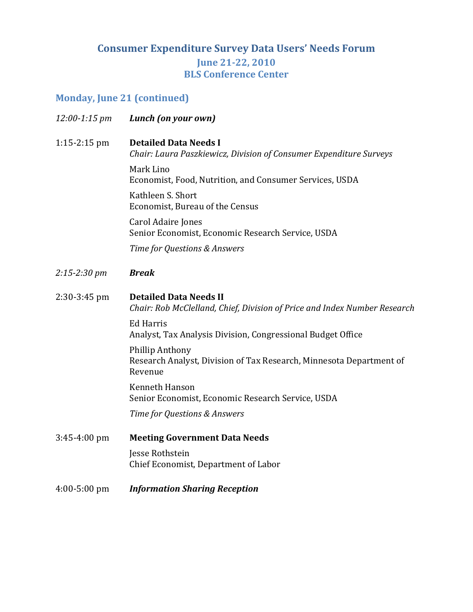# **Monday, June 21 (continued)**

| 12:00-1:15 pm    | Lunch (on your own)                                                                                        |
|------------------|------------------------------------------------------------------------------------------------------------|
| $1:15-2:15$ pm   | <b>Detailed Data Needs I</b><br>Chair: Laura Paszkiewicz, Division of Consumer Expenditure Surveys         |
|                  | Mark Lino<br>Economist, Food, Nutrition, and Consumer Services, USDA                                       |
|                  | Kathleen S. Short<br>Economist, Bureau of the Census                                                       |
|                  | Carol Adaire Jones<br>Senior Economist, Economic Research Service, USDA                                    |
|                  | Time for Questions & Answers                                                                               |
| 2:15-2:30 pm     | <b>Break</b>                                                                                               |
| $2:30-3:45$ pm   | <b>Detailed Data Needs II</b><br>Chair: Rob McClelland, Chief, Division of Price and Index Number Research |
|                  | <b>Ed Harris</b><br>Analyst, Tax Analysis Division, Congressional Budget Office                            |
|                  | <b>Phillip Anthony</b><br>Research Analyst, Division of Tax Research, Minnesota Department of<br>Revenue   |
|                  | Kenneth Hanson<br>Senior Economist, Economic Research Service, USDA                                        |
|                  | Time for Questions & Answers                                                                               |
| $3:45 - 4:00$ pm | <b>Meeting Government Data Needs</b>                                                                       |
|                  | Jesse Rothstein<br>Chief Economist, Department of Labor                                                    |
| $4:00 - 5:00$ pm | <b>Information Sharing Reception</b>                                                                       |
|                  |                                                                                                            |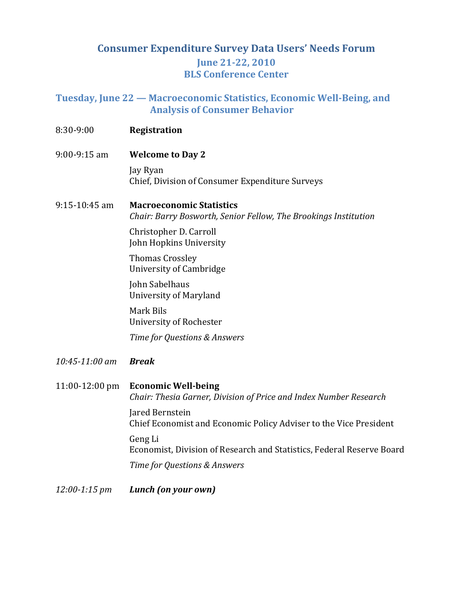#### **Tuesday, June 22 — Macroeconomic Statistics, Economic WellBeing, and Analysis of Consumer Behavior**

| 8:30-9:00          | <b>Registration</b>                                                                                |
|--------------------|----------------------------------------------------------------------------------------------------|
| $9:00 - 9:15$ am   | <b>Welcome to Day 2</b>                                                                            |
|                    | Jay Ryan<br>Chief, Division of Consumer Expenditure Surveys                                        |
| $9:15 - 10:45$ am  | <b>Macroeconomic Statistics</b><br>Chair: Barry Bosworth, Senior Fellow, The Brookings Institution |
|                    | Christopher D. Carroll<br>John Hopkins University                                                  |
|                    | <b>Thomas Crossley</b><br>University of Cambridge                                                  |
|                    | John Sabelhaus<br><b>University of Maryland</b>                                                    |
|                    | Mark Bils<br>University of Rochester                                                               |
|                    | Time for Questions & Answers                                                                       |
| $10:45 - 11:00$ am | <b>Break</b>                                                                                       |
| 11:00-12:00 pm     | <b>Economic Well-being</b><br>Chair: Thesia Garner, Division of Price and Index Number Research    |
|                    | Jared Bernstein<br>Chief Economist and Economic Policy Adviser to the Vice President               |
|                    | Geng Li<br>Economist, Division of Research and Statistics, Federal Reserve Board                   |
|                    | Time for Questions & Answers                                                                       |
| $12:00 - 1:15$ pm  | Lunch (on your own)                                                                                |